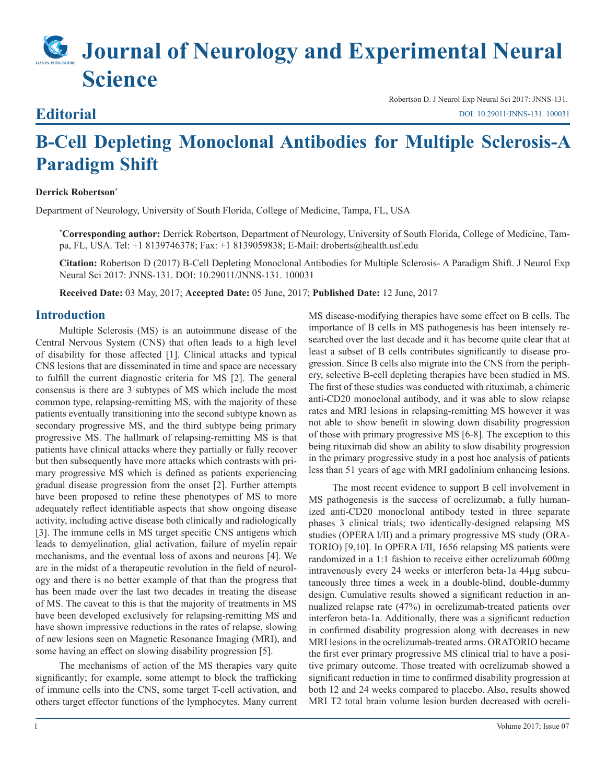# **Journal of Neurology and Experimental Neural Science**

### **Editorial**

Robertson D. J Neurol Exp Neural Sci 2017: JNNS-131. [DOI: 10.29011/JNNS-131. 100031](http://doi.org/10.29011/JNNS-131. 100031)

## **B-Cell Depleting Monoclonal Antibodies for Multiple Sclerosis-A Paradigm Shift**

#### **Derrick Robertson\***

Department of Neurology, University of South Florida, College of Medicine, Tampa, FL, USA

**\* Corresponding author:** Derrick Robertson, Department of Neurology, University of South Florida, College of Medicine, Tampa, FL, USA. Tel: +1 8139746378; Fax: +1 8139059838; E-Mail: droberts@health.usf.edu

**Citation:** Robertson D (2017) B-Cell Depleting Monoclonal Antibodies for Multiple Sclerosis- A Paradigm Shift. J Neurol Exp Neural Sci 2017: JNNS-131. DOI: 10.29011/JNNS-131. 100031

**Received Date:** 03 May, 2017; **Accepted Date:** 05 June, 2017; **Published Date:** 12 June, 2017

#### **Introduction**

Multiple Sclerosis (MS) is an autoimmune disease of the Central Nervous System (CNS) that often leads to a high level of disability for those affected [1]. Clinical attacks and typical CNS lesions that are disseminated in time and space are necessary to fulfill the current diagnostic criteria for MS [2]. The general consensus is there are 3 subtypes of MS which include the most common type, relapsing-remitting MS, with the majority of these patients eventually transitioning into the second subtype known as secondary progressive MS, and the third subtype being primary progressive MS. The hallmark of relapsing-remitting MS is that patients have clinical attacks where they partially or fully recover but then subsequently have more attacks which contrasts with primary progressive MS which is defined as patients experiencing gradual disease progression from the onset [2]. Further attempts have been proposed to refine these phenotypes of MS to more adequately reflect identifiable aspects that show ongoing disease activity, including active disease both clinically and radiologically [3]. The immune cells in MS target specific CNS antigens which leads to demyelination, glial activation, failure of myelin repair mechanisms, and the eventual loss of axons and neurons [4]. We are in the midst of a therapeutic revolution in the field of neurology and there is no better example of that than the progress that has been made over the last two decades in treating the disease of MS. The caveat to this is that the majority of treatments in MS have been developed exclusively for relapsing-remitting MS and have shown impressive reductions in the rates of relapse, slowing of new lesions seen on Magnetic Resonance Imaging (MRI), and some having an effect on slowing disability progression [5].

The mechanisms of action of the MS therapies vary quite significantly; for example, some attempt to block the trafficking of immune cells into the CNS, some target T-cell activation, and others target effector functions of the lymphocytes. Many current

MS disease-modifying therapies have some effect on B cells. The importance of B cells in MS pathogenesis has been intensely researched over the last decade and it has become quite clear that at least a subset of B cells contributes significantly to disease progression. Since B cells also migrate into the CNS from the periphery, selective B-cell depleting therapies have been studied in MS. The first of these studies was conducted with rituximab, a chimeric anti-CD20 monoclonal antibody, and it was able to slow relapse rates and MRI lesions in relapsing-remitting MS however it was not able to show benefit in slowing down disability progression of those with primary progressive MS [6-8]. The exception to this being rituximab did show an ability to slow disability progression in the primary progressive study in a post hoc analysis of patients less than 51 years of age with MRI gadolinium enhancing lesions.

The most recent evidence to support B cell involvement in MS pathogenesis is the success of ocrelizumab, a fully humanized anti-CD20 monoclonal antibody tested in three separate phases 3 clinical trials; two identically-designed relapsing MS studies (OPERA I/II) and a primary progressive MS study (ORA-TORIO) [9,10]. In OPERA I/II, 1656 relapsing MS patients were randomized in a 1:1 fashion to receive either ocrelizumab 600mg intravenously every 24 weeks or interferon beta-1a 44µg subcutaneously three times a week in a double-blind, double-dummy design. Cumulative results showed a significant reduction in annualized relapse rate (47%) in ocrelizumab-treated patients over interferon beta-1a. Additionally, there was a significant reduction in confirmed disability progression along with decreases in new MRI lesions in the ocrelizumab-treated arms. ORATORIO became the first ever primary progressive MS clinical trial to have a positive primary outcome. Those treated with ocrelizumab showed a significant reduction in time to confirmed disability progression at both 12 and 24 weeks compared to placebo. Also, results showed MRI T2 total brain volume lesion burden decreased with ocreli